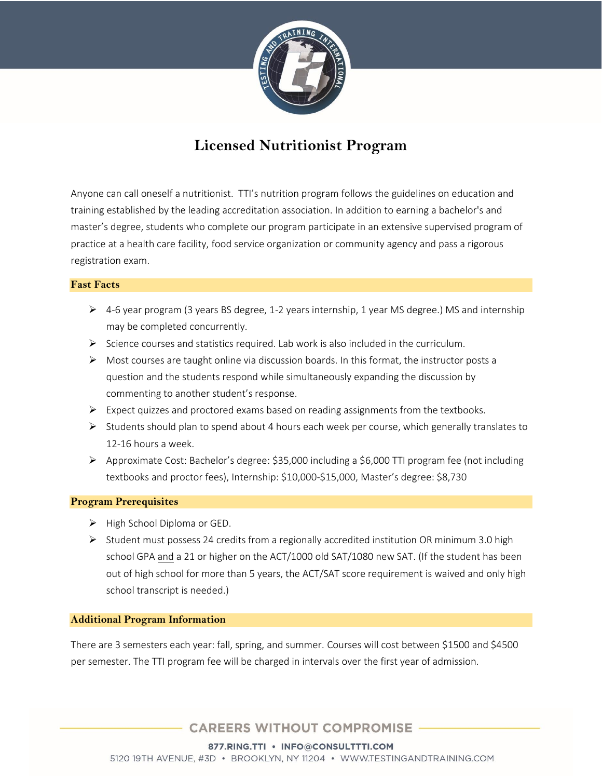

# **Licensed Nutritionist Program**

Anyone can call oneself a nutritionist. TTI's nutrition program follows the guidelines on education and training established by the leading accreditation association. In addition to earning a bachelor's and master's degree, students who complete our program participate in an extensive supervised program of practice at a health care facility, food service organization or community agency and pass a rigorous registration exam.

### **Fast Facts**

- $\triangleright$  4-6 year program (3 years BS degree, 1-2 years internship, 1 year MS degree.) MS and internship may be completed concurrently.
- $\triangleright$  Science courses and statistics required. Lab work is also included in the curriculum.
- $\triangleright$  Most courses are taught online via discussion boards. In this format, the instructor posts a question and the students respond while simultaneously expanding the discussion by commenting to another student's response.
- $\triangleright$  Expect quizzes and proctored exams based on reading assignments from the textbooks.
- ➢ Students should plan to spend about 4 hours each week per course, which generally translates to 12-16 hours a week.
- ➢ Approximate Cost: Bachelor's degree: \$35,000 including a \$6,000 TTI program fee (not including textbooks and proctor fees), Internship: \$10,000-\$15,000, Master's degree: \$8,730

## **Program Prerequisites**

- ➢ High School Diploma or GED.
- ➢ Student must possess 24 credits from a regionally accredited institution OR minimum 3.0 high school GPA and a 21 or higher on the ACT/1000 old SAT/1080 new SAT. (If the student has been out of high school for more than 5 years, the ACT/SAT score requirement is waived and only high school transcript is needed.)

## **Additional Program Information**

There are 3 semesters each year: fall, spring, and summer. Courses will cost between \$1500 and \$4500 per semester. The TTI program fee will be charged in intervals over the first year of admission.

**CAREERS WITHOUT COMPROMISE** 

877.RING.TTI · INFO@CONSULTTTI.COM

5120 19TH AVENUE, #3D · BROOKLYN, NY 11204 · WWW.TESTINGANDTRAINING.COM